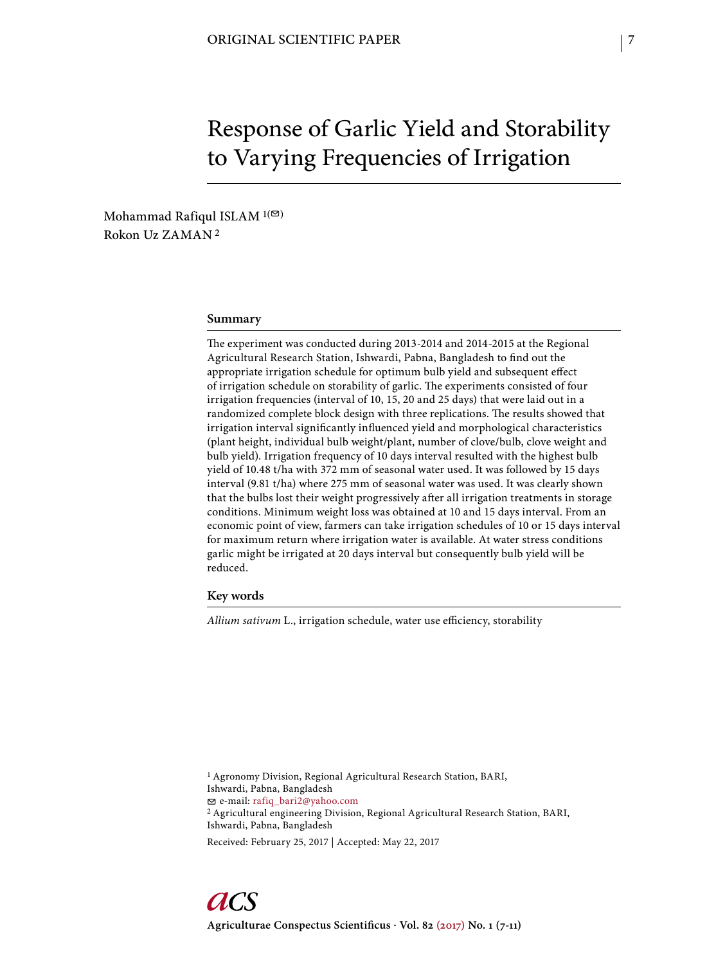# Response of Garlic Yield and Storability to Varying Frequencies of Irrigation

Mohammad Rafiqul ISLAM  $1(\mathcal{D})$ Rokon Uz ZAMAN 2

## **Summary**

The experiment was conducted during 2013-2014 and 2014-2015 at the Regional Agricultural Research Station, Ishwardi, Pabna, Bangladesh to find out the appropriate irrigation schedule for optimum bulb yield and subsequent effect of irrigation schedule on storability of garlic. The experiments consisted of four irrigation frequencies (interval of 10, 15, 20 and 25 days) that were laid out in a randomized complete block design with three replications. The results showed that irrigation interval significantly influenced yield and morphological characteristics (plant height, individual bulb weight/plant, number of clove/bulb, clove weight and bulb yield). Irrigation frequency of 10 days interval resulted with the highest bulb yield of 10.48 t/ha with 372 mm of seasonal water used. It was followed by 15 days interval (9.81 t/ha) where 275 mm of seasonal water was used. It was clearly shown that the bulbs lost their weight progressively after all irrigation treatments in storage conditions. Minimum weight loss was obtained at 10 and 15 days interval. From an economic point of view, farmers can take irrigation schedules of 10 or 15 days interval for maximum return where irrigation water is available. At water stress conditions garlic might be irrigated at 20 days interval but consequently bulb yield will be reduced.

**Key words**

Allium sativum L., irrigation schedule, water use efficiency, storability

1 Agronomy Division, Regional Agricultural Research Station, BARI, Ishwardi, Pabna, Bangladesh e-mail: rafiq\_bari2@yahoo.com 2 Agricultural engineering Division, Regional Agricultural Research Station, BARI, Ishwardi, Pabna, Bangladesh

Received: February 25, 2017 | Accepted: May 22, 2017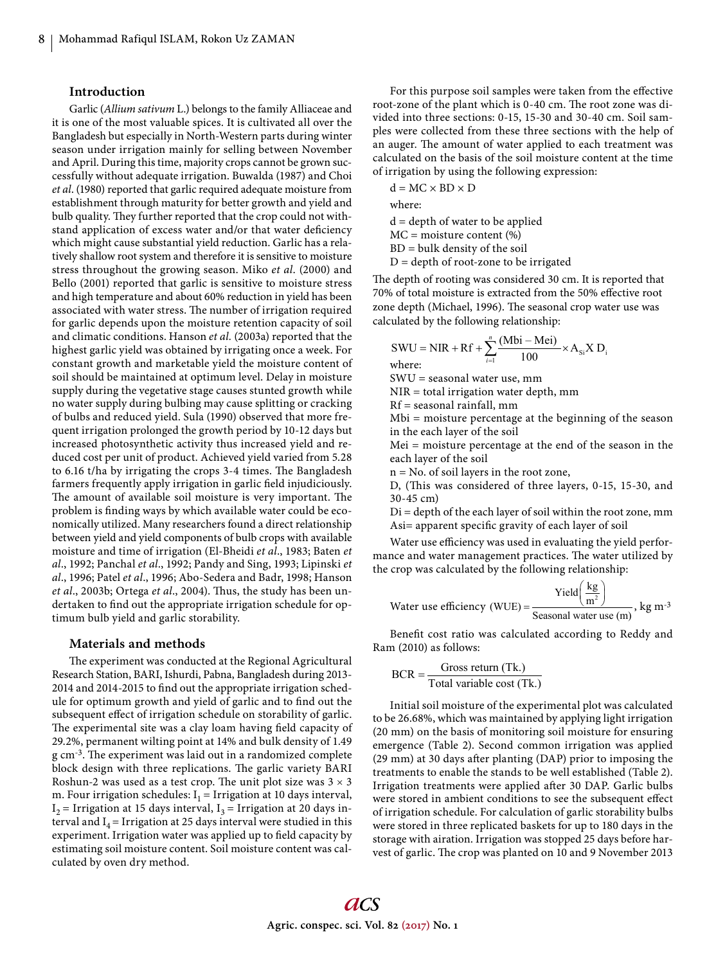## **Introduction**

Garlic (*Allium sativum* L.) belongs to the family Alliaceae and it is one of the most valuable spices. It is cultivated all over the Bangladesh but especially in North-Western parts during winter season under irrigation mainly for selling between November and April. During this time, majority crops cannot be grown successfully without adequate irrigation. Buwalda (1987) and Choi *et al*. (1980) reported that garlic required adequate moisture from establishment through maturity for better growth and yield and bulb quality. They further reported that the crop could not withstand application of excess water and/or that water deficiency which might cause substantial yield reduction. Garlic has a relatively shallow root system and therefore it is sensitive to moisture stress throughout the growing season. Miko *et al*. (2000) and Bello (2001) reported that garlic is sensitive to moisture stress and high temperature and about 60% reduction in yield has been associated with water stress. The number of irrigation required for garlic depends upon the moisture retention capacity of soil and climatic conditions. Hanson *et al.* (2003a) reported that the highest garlic yield was obtained by irrigating once a week. For constant growth and marketable yield the moisture content of soil should be maintained at optimum level. Delay in moisture supply during the vegetative stage causes stunted growth while no water supply during bulbing may cause splitting or cracking of bulbs and reduced yield. Sula (1990) observed that more frequent irrigation prolonged the growth period by 10-12 days but increased photosynthetic activity thus increased yield and reduced cost per unit of product. Achieved yield varied from 5.28 to 6.16 t/ha by irrigating the crops 3-4 times. The Bangladesh farmers frequently apply irrigation in garlic field injudiciously. The amount of available soil moisture is very important. The problem is finding ways by which available water could be economically utilized. Many researchers found a direct relationship between yield and yield components of bulb crops with available moisture and time of irrigation (El-Bheidi *et al*., 1983; Baten *et al*., 1992; Panchal *et al*., 1992; Pandy and Sing, 1993; Lipinski *et al*., 1996; Patel *et al*., 1996; Abo-Sedera and Badr, 1998; Hanson *et al.*, 2003b; Ortega *et al.*, 2004). Thus, the study has been undertaken to find out the appropriate irrigation schedule for optimum bulb yield and garlic storability.

#### **Materials and methods**

The experiment was conducted at the Regional Agricultural Research Station, BARI, Ishurdi, Pabna, Bangladesh during 2013- 2014 and 2014-2015 to find out the appropriate irrigation schedule for optimum growth and yield of garlic and to find out the subsequent effect of irrigation schedule on storability of garlic. The experimental site was a clay loam having field capacity of 29.2%, permanent wilting point at 14% and bulk density of 1.49 g cm<sup>-3</sup>. The experiment was laid out in a randomized complete block design with three replications. The garlic variety BARI Roshun-2 was used as a test crop. The unit plot size was  $3 \times 3$ m. Four irrigation schedules:  $I_1$  = Irrigation at 10 days interval,  $I_2$  = Irrigation at 15 days interval,  $I_3$  = Irrigation at 20 days interval and  $I_4$  = Irrigation at 25 days interval were studied in this experiment. Irrigation water was applied up to field capacity by estimating soil moisture content. Soil moisture content was calculated by oven dry method.

For this purpose soil samples were taken from the effective root-zone of the plant which is 0-40 cm. The root zone was divided into three sections: 0-15, 15-30 and 30-40 cm. Soil samples were collected from these three sections with the help of an auger. The amount of water applied to each treatment was calculated on the basis of the soil moisture content at the time of irrigation by using the following expression:

 $d = MC \times BD \times D$ where:

 $d =$  depth of water to be applied MC = moisture content (%) BD = bulk density of the soil

 $D =$  depth of root-zone to be irrigated

The depth of rooting was considered 30 cm. It is reported that 70% of total moisture is extracted from the 50% effective root zone depth (Michael, 1996). The seasonal crop water use was calculated by the following relationship:

$$
SWU = NIR + Rf + \sum_{i=1}^{n} \frac{(Mbi - Mei)}{100} \times A_{si} X D_i
$$

where:

SWU = seasonal water use, mm

NIR = total irrigation water depth, mm

Rf = seasonal rainfall, mm

Mbi = moisture percentage at the beginning of the season in the each layer of the soil

Mei = moisture percentage at the end of the season in the each layer of the soil

n = No. of soil layers in the root zone,

D, (This was considered of three layers, 0-15, 15-30, and 30-45 cm)

 $Di = depth of the each layer of soil within the root zone, mm$ Asi= apparent specific gravity of each layer of soil

Water use efficiency was used in evaluating the yield performance and water management practices. The water utilized by the crop was calculated by the following relationship:

Water use efficiency (WUE) = 
$$
\frac{\text{Yield}\left(\frac{\text{kg}}{\text{m}^2}\right)}{\text{Seasonal water use (m)}}, \text{kg m}^{-3}
$$

Benefit cost ratio was calculated according to Reddy and Ram (2010) as follows:

$$
BCR = \frac{Gross return (Tk.)}{Total variable cost (Tk.)}
$$

Initial soil moisture of the experimental plot was calculated to be 26.68%, which was maintained by applying light irrigation (20 mm) on the basis of monitoring soil moisture for ensuring emergence (Table 2). Second common irrigation was applied  $(29 \text{ mm})$  at 30 days after planting  $(DAP)$  prior to imposing the treatments to enable the stands to be well established (Table 2). Irrigation treatments were applied after 30 DAP. Garlic bulbs were stored in ambient conditions to see the subsequent effect of irrigation schedule. For calculation of garlic storability bulbs were stored in three replicated baskets for up to 180 days in the storage with airation. Irrigation was stopped 25 days before harvest of garlic. The crop was planted on 10 and 9 November 2013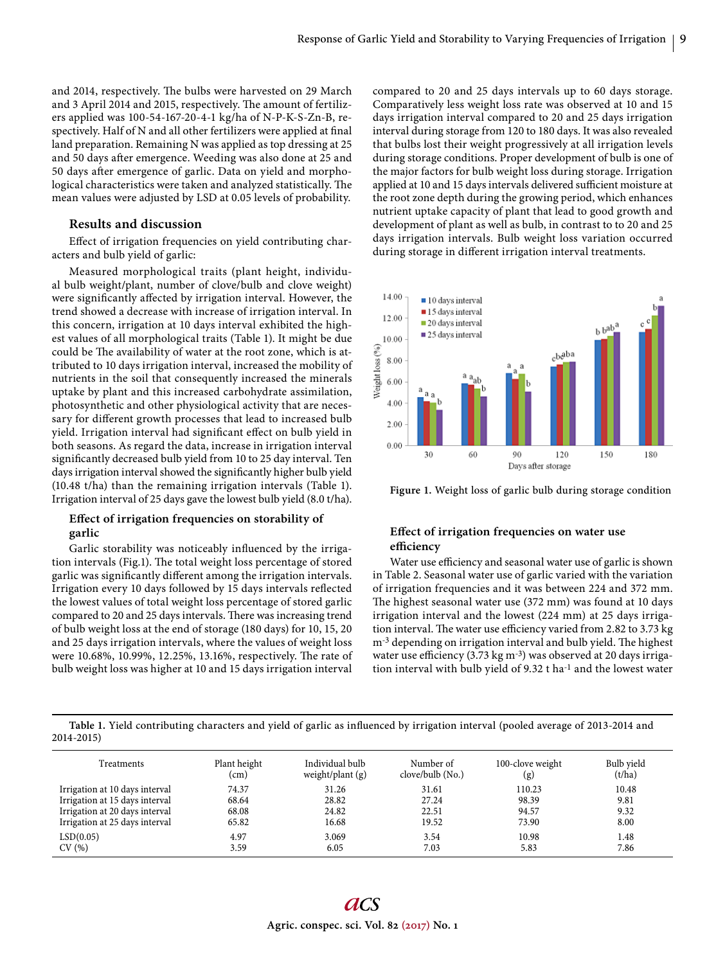and 2014, respectively. The bulbs were harvested on 29 March and 3 April 2014 and 2015, respectively. The amount of fertilizers applied was 100-54-167-20-4-1 kg/ha of N-P-K-S-Zn-B, respectively. Half of N and all other fertilizers were applied at final land preparation. Remaining N was applied as top dressing at 25 and 50 days after emergence. Weeding was also done at 25 and 50 days after emergence of garlic. Data on yield and morphological characteristics were taken and analyzed statistically. The mean values were adjusted by LSD at 0.05 levels of probability.

#### **Results and discussion**

Effect of irrigation frequencies on yield contributing characters and bulb yield of garlic:

Measured morphological traits (plant height, individual bulb weight/plant, number of clove/bulb and clove weight) were significantly affected by irrigation interval. However, the trend showed a decrease with increase of irrigation interval. In this concern, irrigation at 10 days interval exhibited the highest values of all morphological traits (Table 1). It might be due could be The availability of water at the root zone, which is attributed to 10 days irrigation interval, increased the mobility of nutrients in the soil that consequently increased the minerals uptake by plant and this increased carbohydrate assimilation, photosynthetic and other physiological activity that are necessary for different growth processes that lead to increased bulb yield. Irrigation interval had significant effect on bulb yield in both seasons. As regard the data, increase in irrigation interval significantly decreased bulb yield from 10 to 25 day interval. Ten days irrigation interval showed the significantly higher bulb yield (10.48 t/ha) than the remaining irrigation intervals (Table 1). Irrigation interval of 25 days gave the lowest bulb yield (8.0 t/ha).

# Effect of irrigation frequencies on storability of **garlic**

Garlic storability was noticeably influenced by the irrigation intervals (Fig.1). The total weight loss percentage of stored garlic was significantly different among the irrigation intervals. Irrigation every 10 days followed by 15 days intervals reflected the lowest values of total weight loss percentage of stored garlic compared to 20 and 25 days intervals. There was increasing trend of bulb weight loss at the end of storage (180 days) for 10, 15, 20 and 25 days irrigation intervals, where the values of weight loss were 10.68%, 10.99%, 12.25%, 13.16%, respectively. The rate of bulb weight loss was higher at 10 and 15 days irrigation interval

compared to 20 and 25 days intervals up to 60 days storage. Comparatively less weight loss rate was observed at 10 and 15 days irrigation interval compared to 20 and 25 days irrigation interval during storage from 120 to 180 days. It was also revealed that bulbs lost their weight progressively at all irrigation levels during storage conditions. Proper development of bulb is one of the major factors for bulb weight loss during storage. Irrigation applied at 10 and 15 days intervals delivered sufficient moisture at the root zone depth during the growing period, which enhances nutrient uptake capacity of plant that lead to good growth and development of plant as well as bulb, in contrast to to 20 and 25 days irrigation intervals. Bulb weight loss variation occurred during storage in different irrigation interval treatments.





# Effect of irrigation frequencies on water use **effi ciency**

Water use efficiency and seasonal water use of garlic is shown in Table 2. Seasonal water use of garlic varied with the variation of irrigation frequencies and it was between 224 and 372 mm. The highest seasonal water use (372 mm) was found at 10 days irrigation interval and the lowest (224 mm) at 25 days irrigation interval. The water use efficiency varied from 2.82 to 3.73 kg m<sup>-3</sup> depending on irrigation interval and bulb yield. The highest water use efficiency (3.73 kg m<sup>-3</sup>) was observed at 20 days irrigation interval with bulb yield of 9.32 t ha<sup>-1</sup> and the lowest water

Table 1. Yield contributing characters and yield of garlic as influenced by irrigation interval (pooled average of 2013-2014 and 2014-2015)

| Treatments                     | Plant height<br>(cm) | Individual bulb<br>weight/plant $(g)$ | Number of<br>$\text{clove/bulb}$ (No.) | 100-clove weight<br>(g) | Bulb yield<br>(t/ha) |
|--------------------------------|----------------------|---------------------------------------|----------------------------------------|-------------------------|----------------------|
| Irrigation at 10 days interval | 74.37                | 31.26                                 | 31.61                                  | 110.23                  | 10.48                |
| Irrigation at 15 days interval | 68.64                | 28.82                                 | 27.24                                  | 98.39                   | 9.81                 |
| Irrigation at 20 days interval | 68.08                | 24.82                                 | 22.51                                  | 94.57                   | 9.32                 |
| Irrigation at 25 days interval | 65.82                | 16.68                                 | 19.52                                  | 73.90                   | 8.00                 |
| LSD(0.05)                      | 4.97                 | 3.069                                 | 3.54                                   | 10.98                   | 1.48                 |
| CV(%)                          | 3.59                 | 6.05                                  | 7.03                                   | 5.83                    | 7.86                 |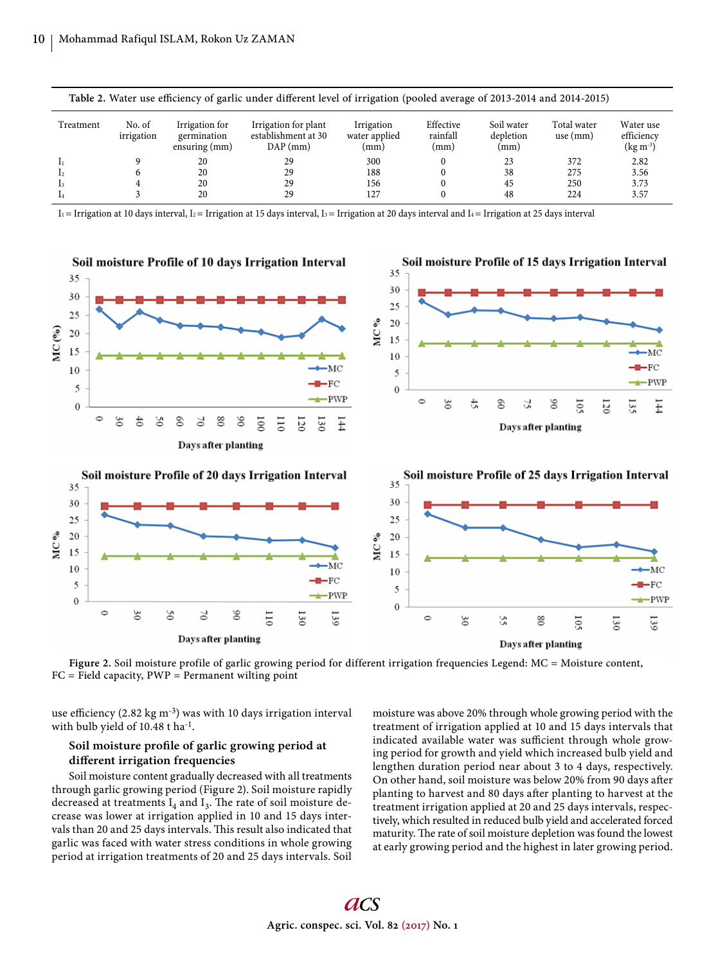| Table 2. Water use efficiency of garlic under different level of irrigation (pooled average of 2013-2014 and 2014-2015) |                      |                                                |                                                           |                                     |                               |                                 |                           |                                                 |
|-------------------------------------------------------------------------------------------------------------------------|----------------------|------------------------------------------------|-----------------------------------------------------------|-------------------------------------|-------------------------------|---------------------------------|---------------------------|-------------------------------------------------|
| Treatment                                                                                                               | No. of<br>irrigation | Irrigation for<br>germination<br>ensuring (mm) | Irrigation for plant<br>establishment at 30<br>$DAP$ (mm) | Irrigation<br>water applied<br>(mm) | Effective<br>rainfall<br>(mm) | Soil water<br>depletion<br>(mm) | Total water<br>use $(mm)$ | Water use<br>efficiency<br>$(\text{kg m}^{-3})$ |
|                                                                                                                         |                      | 20                                             | 29                                                        | 300                                 | 0                             | 23                              | 372                       | 2.82                                            |
|                                                                                                                         |                      | 20                                             | 29                                                        | 188                                 |                               | 38                              | 275                       | 3.56                                            |
|                                                                                                                         |                      | 20                                             | 29                                                        | 156                                 |                               | 45                              | 250                       | 3.73                                            |
|                                                                                                                         |                      | 20                                             | 29                                                        | 127                                 |                               | 48                              | 224                       | 3.57                                            |

 $I_1$  = Irrigation at 10 days interval,  $I_2$  = Irrigation at 15 days interval,  $I_3$  = Irrigation at 20 days interval and  $I_4$  = Irrigation at 25 days interval





use efficiency  $(2.82 \text{ kg m}^{-3})$  was with 10 days irrigation interval with bulb yield of 10.48 t ha<sup>-1</sup>.

# Soil moisture profile of garlic growing period at **diff erent irrigation frequencies**

Soil moisture content gradually decreased with all treatments through garlic growing period (Figure 2). Soil moisture rapidly decreased at treatments  $I_4$  and  $I_3$ . The rate of soil moisture decrease was lower at irrigation applied in 10 and 15 days intervals than 20 and 25 days intervals. This result also indicated that garlic was faced with water stress conditions in whole growing period at irrigation treatments of 20 and 25 days intervals. Soil moisture was above 20% through whole growing period with the treatment of irrigation applied at 10 and 15 days intervals that indicated available water was sufficient through whole growing period for growth and yield which increased bulb yield and lengthen duration period near about 3 to 4 days, respectively. On other hand, soil moisture was below 20% from 90 days after planting to harvest and 80 days after planting to harvest at the treatment irrigation applied at 20 and 25 days intervals, respectively, which resulted in reduced bulb yield and accelerated forced maturity. The rate of soil moisture depletion was found the lowest at early growing period and the highest in later growing period.